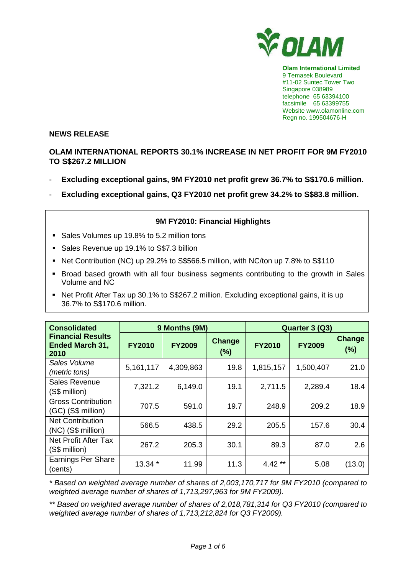

**Olam International Limited**  9 Temasek Boulevard #11-02 Suntec Tower Two Singapore 038989 telephone 65 63394100 facsimile 65 63399755 Website www.olamonline.com Regn no. 199504676-H

### **NEWS RELEASE**

# **OLAM INTERNATIONAL REPORTS 30.1% INCREASE IN NET PROFIT FOR 9M FY2010 TO S\$267.2 MILLION**

- **Excluding exceptional gains, 9M FY2010 net profit grew 36.7% to S\$170.6 million.**
- **Excluding exceptional gains, Q3 FY2010 net profit grew 34.2% to S\$83.8 million.**

## **9M FY2010: Financial Highlights**

- Sales Volumes up 19.8% to 5.2 million tons
- Sales Revenue up 19.1% to S\$7.3 billion
- Net Contribution (NC) up 29.2% to S\$566.5 million, with NC/ton up 7.8% to S\$110
- Broad based growth with all four business segments contributing to the growth in Sales Volume and NC
- Net Profit After Tax up 30.1% to S\$267.2 million. Excluding exceptional gains, it is up 36.7% to S\$170.6 million.

| <b>Consolidated</b>                                        | 9 Months (9M) |               |                      | Quarter 3 (Q3) |               |               |
|------------------------------------------------------------|---------------|---------------|----------------------|----------------|---------------|---------------|
| <b>Financial Results</b><br><b>Ended March 31,</b><br>2010 | <b>FY2010</b> | <b>FY2009</b> | <b>Change</b><br>(%) | <b>FY2010</b>  | <b>FY2009</b> | Change<br>(%) |
| Sales Volume<br>(metric tons)                              | 5,161,117     | 4,309,863     | 19.8                 | 1,815,157      | 1,500,407     | 21.0          |
| Sales Revenue<br>(S\$ million)                             | 7,321.2       | 6,149.0       | 19.1                 | 2,711.5        | 2,289.4       | 18.4          |
| <b>Gross Contribution</b><br>(GC) (S\$ million)            | 707.5         | 591.0         | 19.7                 | 248.9          | 209.2         | 18.9          |
| <b>Net Contribution</b><br>(NC) (S\$ million)              | 566.5         | 438.5         | 29.2                 | 205.5          | 157.6         | 30.4          |
| Net Profit After Tax<br>(S\$ million)                      | 267.2         | 205.3         | 30.1                 | 89.3           | 87.0          | 2.6           |
| <b>Earnings Per Share</b><br>(cents)                       | 13.34 *       | 11.99         | 11.3                 | $4.42**$       | 5.08          | (13.0)        |

\* Based on weighted average number of shares of 2,003,170,717 for 9M FY2010 (compared to weighted average number of shares of 1,713,297,963 for 9M FY2009).

\*\* Based on weighted average number of shares of 2,018,781,314 for Q3 FY2010 (compared to weighted average number of shares of 1,713,212,824 for Q3 FY2009).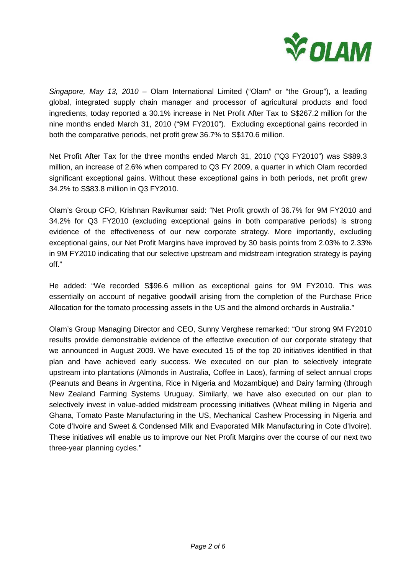

Singapore, May 13, 2010 – Olam International Limited ("Olam" or "the Group"), a leading global, integrated supply chain manager and processor of agricultural products and food ingredients, today reported a 30.1% increase in Net Profit After Tax to S\$267.2 million for the nine months ended March 31, 2010 ("9M FY2010"). Excluding exceptional gains recorded in both the comparative periods, net profit grew 36.7% to S\$170.6 million.

Net Profit After Tax for the three months ended March 31, 2010 ("Q3 FY2010") was S\$89.3 million, an increase of 2.6% when compared to Q3 FY 2009, a quarter in which Olam recorded significant exceptional gains. Without these exceptional gains in both periods, net profit grew 34.2% to S\$83.8 million in Q3 FY2010.

Olam's Group CFO, Krishnan Ravikumar said: "Net Profit growth of 36.7% for 9M FY2010 and 34.2% for Q3 FY2010 (excluding exceptional gains in both comparative periods) is strong evidence of the effectiveness of our new corporate strategy. More importantly, excluding exceptional gains, our Net Profit Margins have improved by 30 basis points from 2.03% to 2.33% in 9M FY2010 indicating that our selective upstream and midstream integration strategy is paying off."

He added: "We recorded S\$96.6 million as exceptional gains for 9M FY2010. This was essentially on account of negative goodwill arising from the completion of the Purchase Price Allocation for the tomato processing assets in the US and the almond orchards in Australia."

Olam's Group Managing Director and CEO, Sunny Verghese remarked: "Our strong 9M FY2010 results provide demonstrable evidence of the effective execution of our corporate strategy that we announced in August 2009. We have executed 15 of the top 20 initiatives identified in that plan and have achieved early success. We executed on our plan to selectively integrate upstream into plantations (Almonds in Australia, Coffee in Laos), farming of select annual crops (Peanuts and Beans in Argentina, Rice in Nigeria and Mozambique) and Dairy farming (through New Zealand Farming Systems Uruguay. Similarly, we have also executed on our plan to selectively invest in value-added midstream processing initiatives (Wheat milling in Nigeria and Ghana, Tomato Paste Manufacturing in the US, Mechanical Cashew Processing in Nigeria and Cote d'Ivoire and Sweet & Condensed Milk and Evaporated Milk Manufacturing in Cote d'Ivoire). These initiatives will enable us to improve our Net Profit Margins over the course of our next two three-year planning cycles."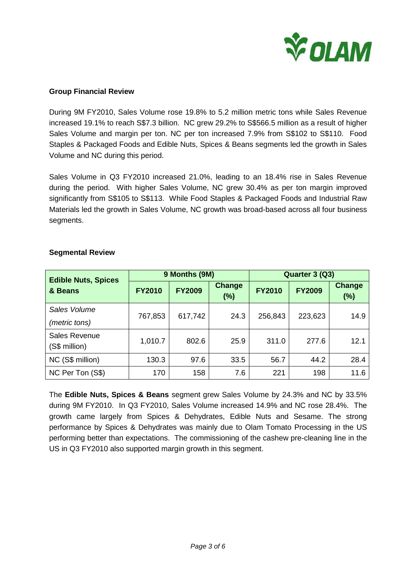

#### **Group Financial Review**

During 9M FY2010, Sales Volume rose 19.8% to 5.2 million metric tons while Sales Revenue increased 19.1% to reach S\$7.3 billion. NC grew 29.2% to S\$566.5 million as a result of higher Sales Volume and margin per ton. NC per ton increased 7.9% from S\$102 to S\$110. Food Staples & Packaged Foods and Edible Nuts, Spices & Beans segments led the growth in Sales Volume and NC during this period.

Sales Volume in Q3 FY2010 increased 21.0%, leading to an 18.4% rise in Sales Revenue during the period. With higher Sales Volume, NC grew 30.4% as per ton margin improved significantly from S\$105 to S\$113. While Food Staples & Packaged Foods and Industrial Raw Materials led the growth in Sales Volume, NC growth was broad-based across all four business segments.

| <b>Edible Nuts, Spices</b>            | 9 Months (9M) |               |                      | Quarter 3 (Q3) |               |                      |
|---------------------------------------|---------------|---------------|----------------------|----------------|---------------|----------------------|
| & Beans                               | <b>FY2010</b> | <b>FY2009</b> | <b>Change</b><br>(%) | <b>FY2010</b>  | <b>FY2009</b> | <b>Change</b><br>(%) |
| Sales Volume                          |               | 617,742       | 24.3                 | 256,843        | 223,623       | 14.9                 |
| (metric tons)                         | 767,853       |               |                      |                |               |                      |
| <b>Sales Revenue</b><br>(S\$ million) | 1,010.7       | 802.6         | 25.9                 | 311.0          | 277.6         | 12.1                 |
| NC (S\$ million)                      | 130.3         | 97.6          | 33.5                 | 56.7           | 44.2          | 28.4                 |
| NC Per Ton (S\$)                      | 170           | 158           | 7.6                  | 221            | 198           | 11.6                 |

#### **Segmental Review**

The **Edible Nuts, Spices & Beans** segment grew Sales Volume by 24.3% and NC by 33.5% during 9M FY2010. In Q3 FY2010, Sales Volume increased 14.9% and NC rose 28.4%. The growth came largely from Spices & Dehydrates, Edible Nuts and Sesame. The strong performance by Spices & Dehydrates was mainly due to Olam Tomato Processing in the US performing better than expectations. The commissioning of the cashew pre-cleaning line in the US in Q3 FY2010 also supported margin growth in this segment.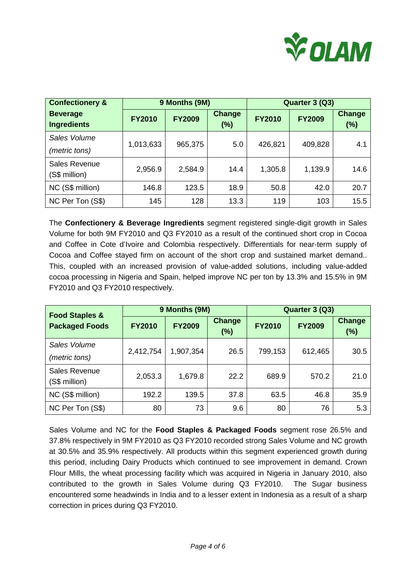

| <b>Confectionery &amp;</b>            | 9 Months (9M) |               |                         | Quarter 3 (Q3) |               |                      |
|---------------------------------------|---------------|---------------|-------------------------|----------------|---------------|----------------------|
| <b>Beverage</b><br><b>Ingredients</b> | <b>FY2010</b> | <b>FY2009</b> | <b>Change</b><br>$(\%)$ | <b>FY2010</b>  | <b>FY2009</b> | <b>Change</b><br>(%) |
| Sales Volume                          | 1,013,633     | 965,375       | 5.0                     | 426,821        | 409,828       | 4.1                  |
| (metric tons)                         |               |               |                         |                |               |                      |
| Sales Revenue<br>(S\$ million)        | 2,956.9       | 2,584.9       | 14.4                    | 1,305.8        | 1,139.9       | 14.6                 |
| NC (S\$ million)                      | 146.8         | 123.5         | 18.9                    | 50.8           | 42.0          | 20.7                 |
| NC Per Ton (S\$)                      | 145           | 128           | 13.3                    | 119            | 103           | 15.5                 |

The **Confectionery & Beverage Ingredients** segment registered single-digit growth in Sales Volume for both 9M FY2010 and Q3 FY2010 as a result of the continued short crop in Cocoa and Coffee in Cote d'Ivoire and Colombia respectively. Differentials for near-term supply of Cocoa and Coffee stayed firm on account of the short crop and sustained market demand.. This, coupled with an increased provision of value-added solutions, including value-added cocoa processing in Nigeria and Spain, helped improve NC per ton by 13.3% and 15.5% in 9M FY2010 and Q3 FY2010 respectively.

| <b>Food Staples &amp;</b>             | 9 Months (9M) |               |                  | Quarter 3 (Q3) |               |                      |
|---------------------------------------|---------------|---------------|------------------|----------------|---------------|----------------------|
| <b>Packaged Foods</b>                 | <b>FY2010</b> | <b>FY2009</b> | Change<br>$(\%)$ | <b>FY2010</b>  | <b>FY2009</b> | <b>Change</b><br>(%) |
| Sales Volume                          |               | 1,907,354     | 26.5             | 799,153        | 612,465       | 30.5                 |
| (metric tons)                         | 2,412,754     |               |                  |                |               |                      |
| <b>Sales Revenue</b><br>(S\$ million) | 2,053.3       | 1,679.8       | 22.2             | 689.9          | 570.2         | 21.0                 |
| NC (S\$ million)                      | 192.2         | 139.5         | 37.8             | 63.5           | 46.8          | 35.9                 |
| NC Per Ton (S\$)                      | 80            | 73            | 9.6              | 80             | 76            | 5.3                  |

Sales Volume and NC for the **Food Staples & Packaged Foods** segment rose 26.5% and 37.8% respectively in 9M FY2010 as Q3 FY2010 recorded strong Sales Volume and NC growth at 30.5% and 35.9% respectively. All products within this segment experienced growth during this period, including Dairy Products which continued to see improvement in demand. Crown Flour Mills, the wheat processing facility which was acquired in Nigeria in January 2010, also contributed to the growth in Sales Volume during Q3 FY2010. The Sugar business encountered some headwinds in India and to a lesser extent in Indonesia as a result of a sharp correction in prices during Q3 FY2010.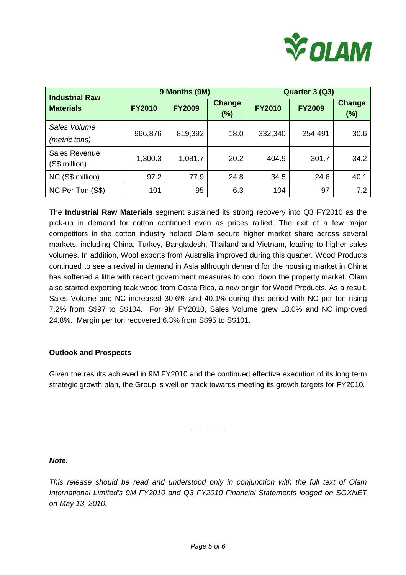

| <b>Industrial Raw</b>                 | 9 Months (9M) |               |                      | Quarter 3 (Q3) |               |                      |
|---------------------------------------|---------------|---------------|----------------------|----------------|---------------|----------------------|
| <b>Materials</b>                      | <b>FY2010</b> | <b>FY2009</b> | <b>Change</b><br>(%) | <b>FY2010</b>  | <b>FY2009</b> | <b>Change</b><br>(%) |
| Sales Volume                          |               |               | 18.0                 | 332,340        |               | 30.6                 |
| (metric tons)                         | 966,876       | 819,392       |                      |                | 254,491       |                      |
| <b>Sales Revenue</b><br>(S\$ million) | 1,300.3       | 1,081.7       | 20.2                 | 404.9          | 301.7         | 34.2                 |
| NC (S\$ million)                      | 97.2          | 77.9          | 24.8                 | 34.5           | 24.6          | 40.1                 |
| NC Per Ton (S\$)                      | 101           | 95            | 6.3                  | 104            | 97            | 7.2                  |

The **Industrial Raw Materials** segment sustained its strong recovery into Q3 FY2010 as the pick-up in demand for cotton continued even as prices rallied. The exit of a few major competitors in the cotton industry helped Olam secure higher market share across several markets, including China, Turkey, Bangladesh, Thailand and Vietnam, leading to higher sales volumes. In addition, Wool exports from Australia improved during this quarter. Wood Products continued to see a revival in demand in Asia although demand for the housing market in China has softened a little with recent government measures to cool down the property market. Olam also started exporting teak wood from Costa Rica, a new origin for Wood Products. As a result, Sales Volume and NC increased 30.6% and 40.1% during this period with NC per ton rising 7.2% from S\$97 to S\$104. For 9M FY2010, Sales Volume grew 18.0% and NC improved 24.8%. Margin per ton recovered 6.3% from S\$95 to S\$101.

#### **Outlook and Prospects**

Given the results achieved in 9M FY2010 and the continued effective execution of its long term strategic growth plan, the Group is well on track towards meeting its growth targets for FY2010.

. . . . .

## **Note**:

This release should be read and understood only in conjunction with the full text of Olam International Limited's 9M FY2010 and Q3 FY2010 Financial Statements lodged on SGXNET on May 13, 2010.